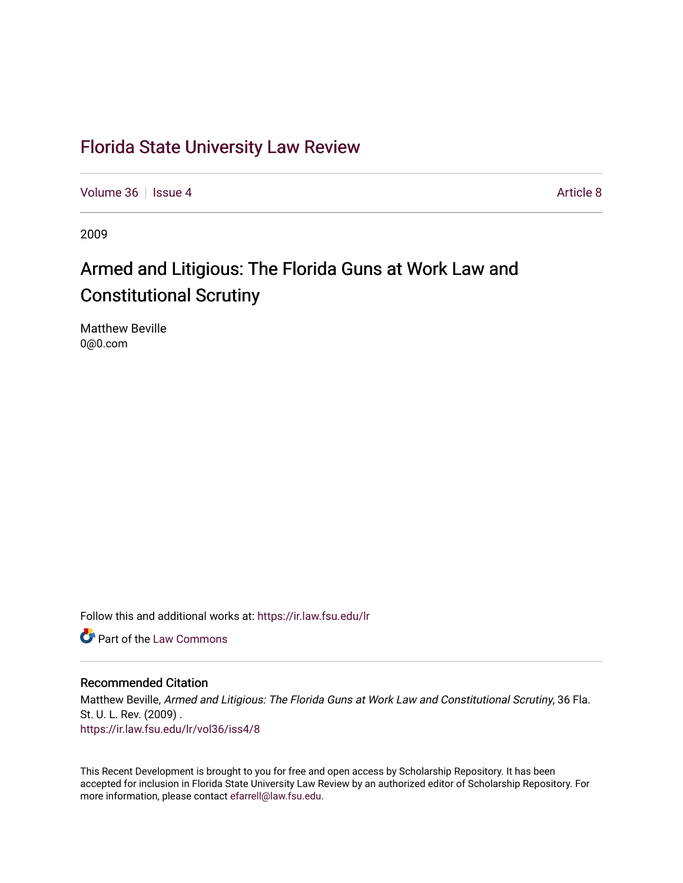## [Florida State University Law Review](https://ir.law.fsu.edu/lr)

[Volume 36](https://ir.law.fsu.edu/lr/vol36) | [Issue 4](https://ir.law.fsu.edu/lr/vol36/iss4) [Article 8](https://ir.law.fsu.edu/lr/vol36/iss4/8) Article 8

2009

## Armed and Litigious: The Florida Guns at Work Law and Constitutional Scrutiny

Matthew Beville 0@0.com

Follow this and additional works at: [https://ir.law.fsu.edu/lr](https://ir.law.fsu.edu/lr?utm_source=ir.law.fsu.edu%2Flr%2Fvol36%2Fiss4%2F8&utm_medium=PDF&utm_campaign=PDFCoverPages) 

**C** Part of the [Law Commons](http://network.bepress.com/hgg/discipline/578?utm_source=ir.law.fsu.edu%2Flr%2Fvol36%2Fiss4%2F8&utm_medium=PDF&utm_campaign=PDFCoverPages)

### Recommended Citation

Matthew Beville, Armed and Litigious: The Florida Guns at Work Law and Constitutional Scrutiny, 36 Fla. St. U. L. Rev. (2009) . [https://ir.law.fsu.edu/lr/vol36/iss4/8](https://ir.law.fsu.edu/lr/vol36/iss4/8?utm_source=ir.law.fsu.edu%2Flr%2Fvol36%2Fiss4%2F8&utm_medium=PDF&utm_campaign=PDFCoverPages)

This Recent Development is brought to you for free and open access by Scholarship Repository. It has been accepted for inclusion in Florida State University Law Review by an authorized editor of Scholarship Repository. For more information, please contact [efarrell@law.fsu.edu](mailto:efarrell@law.fsu.edu).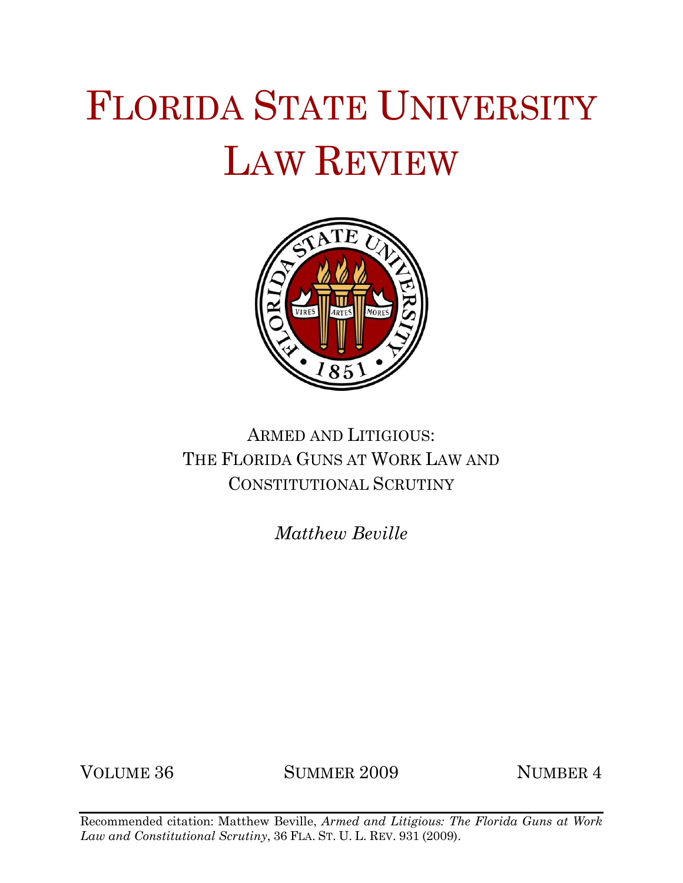# FLORIDA STATE UNIVERSITY LAW REVIEW



## ARMED AND LITIGIOUS: THE FLORIDA GUNS AT WORK LAW AND CONSTITUTIONAL SCRUTINY

*Matthew Beville*

VOLUME 36 SUMMER 2009 NUMBER 4

Recommended citation: Matthew Beville, *Armed and Litigious: The Florida Guns at Work Law and Constitutional Scrutiny*, 36 FLA. ST. U. L. REV. 931 (2009).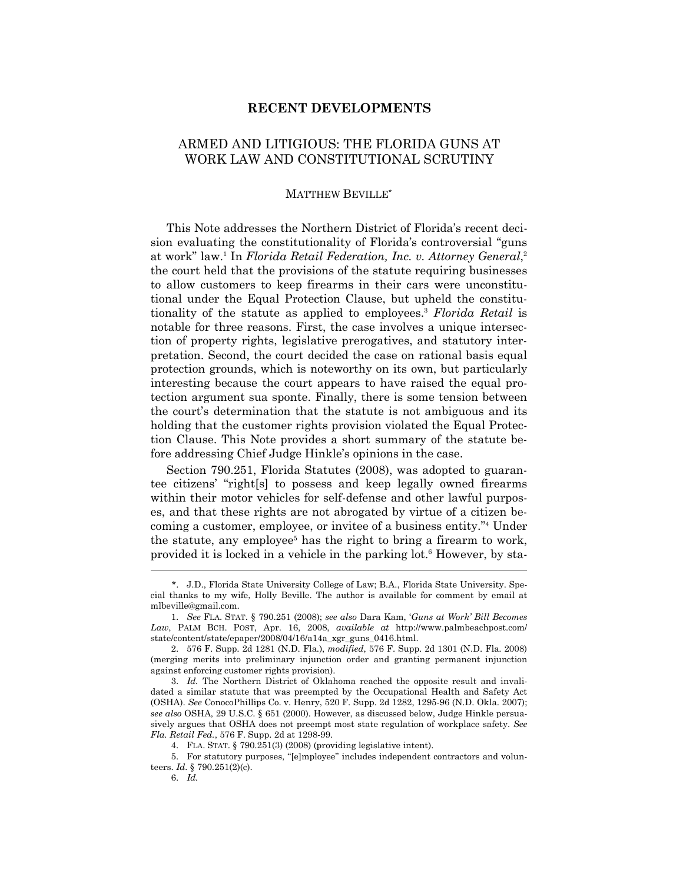#### **RECENT DEVELOPMENTS**

## ARMED AND LITIGIOUS: THE FLORIDA GUNS AT WORK LAW AND CONSTITUTIONAL SCRUTINY

#### MATTHEW BEVILLE\*

 This Note addresses the Northern District of Florida's recent decision evaluating the constitutionality of Florida's controversial "guns at work" law.1 In *Florida Retail Federation, Inc. v. Attorney General*, 2 the court held that the provisions of the statute requiring businesses to allow customers to keep firearms in their cars were unconstitutional under the Equal Protection Clause, but upheld the constitutionality of the statute as applied to employees.3 *Florida Retail* is notable for three reasons. First, the case involves a unique intersection of property rights, legislative prerogatives, and statutory interpretation. Second, the court decided the case on rational basis equal protection grounds, which is noteworthy on its own, but particularly interesting because the court appears to have raised the equal protection argument sua sponte. Finally, there is some tension between the court's determination that the statute is not ambiguous and its holding that the customer rights provision violated the Equal Protection Clause. This Note provides a short summary of the statute before addressing Chief Judge Hinkle's opinions in the case.

 Section 790.251, Florida Statutes (2008), was adopted to guarantee citizens' "right[s] to possess and keep legally owned firearms within their motor vehicles for self-defense and other lawful purposes, and that these rights are not abrogated by virtue of a citizen becoming a customer, employee, or invitee of a business entity."4 Under the statute, any employee<sup>5</sup> has the right to bring a firearm to work, provided it is locked in a vehicle in the parking lot.6 However, by sta-

 <sup>\*.</sup> J.D., Florida State University College of Law; B.A., Florida State University. Special thanks to my wife, Holly Beville. The author is available for comment by email at mlbeville@gmail.com.

 <sup>1.</sup> *See* FLA. STAT. § 790.251 (2008); *see also* Dara Kam, '*Guns at Work' Bill Becomes Law*, PALM BCH. POST, Apr. 16, 2008, *available at* http://www.palmbeachpost.com/ state/content/state/epaper/2008/04/16/a14a\_xgr\_guns\_0416.html.

 <sup>2. 576</sup> F. Supp. 2d 1281 (N.D. Fla.), *modified*, 576 F. Supp. 2d 1301 (N.D. Fla. 2008) (merging merits into preliminary injunction order and granting permanent injunction against enforcing customer rights provision).

 <sup>3.</sup> *Id.* The Northern District of Oklahoma reached the opposite result and invalidated a similar statute that was preempted by the Occupational Health and Safety Act (OSHA). *See* ConocoPhillips Co. v. Henry, 520 F. Supp. 2d 1282, 1295-96 (N.D. Okla. 2007); *see also* OSHA, 29 U.S.C. § 651 (2000). However, as discussed below, Judge Hinkle persuasively argues that OSHA does not preempt most state regulation of workplace safety. *See Fla. Retail Fed.*, 576 F. Supp. 2d at 1298-99.

 <sup>4.</sup> FLA. STAT. § 790.251(3) (2008) (providing legislative intent).

 <sup>5.</sup> For statutory purposes, "[e]mployee" includes independent contractors and volunteers. *Id.* § 790.251(2)(c).

 <sup>6.</sup> *Id.*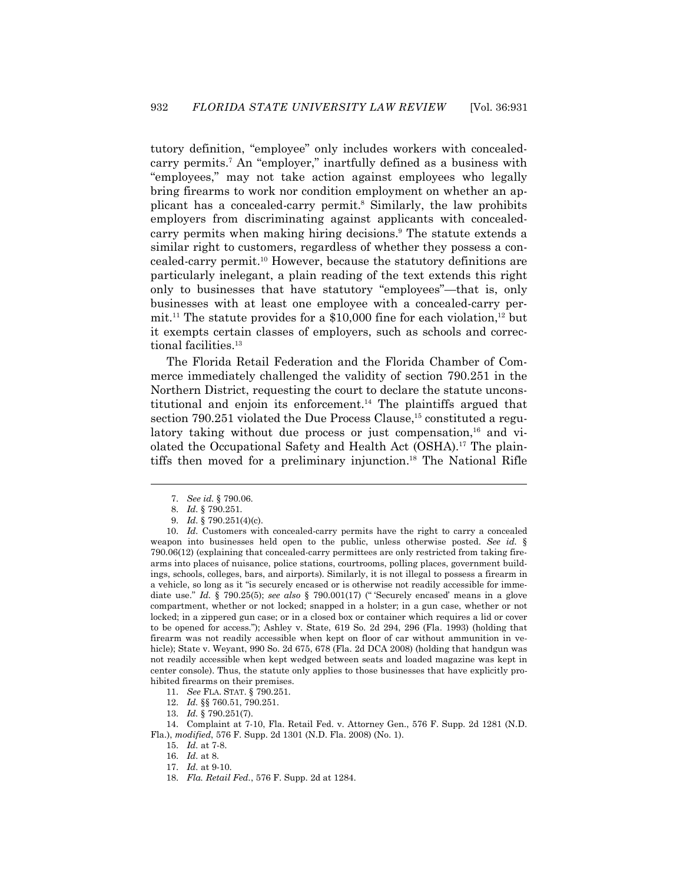tutory definition, "employee" only includes workers with concealedcarry permits.<sup>7</sup> An "employer," inartfully defined as a business with "employees," may not take action against employees who legally bring firearms to work nor condition employment on whether an applicant has a concealed-carry permit.<sup>8</sup> Similarly, the law prohibits employers from discriminating against applicants with concealedcarry permits when making hiring decisions.9 The statute extends a similar right to customers, regardless of whether they possess a concealed-carry permit.10 However, because the statutory definitions are particularly inelegant, a plain reading of the text extends this right only to businesses that have statutory "employees"—that is, only businesses with at least one employee with a concealed-carry permit.<sup>11</sup> The statute provides for a \$10,000 fine for each violation,<sup>12</sup> but it exempts certain classes of employers, such as schools and correctional facilities.13

 The Florida Retail Federation and the Florida Chamber of Commerce immediately challenged the validity of section 790.251 in the Northern District, requesting the court to declare the statute unconstitutional and enjoin its enforcement.14 The plaintiffs argued that section 790.251 violated the Due Process Clause,<sup>15</sup> constituted a regulatory taking without due process or just compensation,<sup>16</sup> and violated the Occupational Safety and Health Act (OSHA).17 The plaintiffs then moved for a preliminary injunction.18 The National Rifle

 <sup>7.</sup> *See id.* § 790.06.

 <sup>8.</sup> *Id.* § 790.251.

 <sup>9.</sup> *Id.* § 790.251(4)(c).

 <sup>10.</sup> *Id.* Customers with concealed-carry permits have the right to carry a concealed weapon into businesses held open to the public, unless otherwise posted. *See id.* § 790.06(12) (explaining that concealed-carry permittees are only restricted from taking firearms into places of nuisance, police stations, courtrooms, polling places, government buildings, schools, colleges, bars, and airports). Similarly, it is not illegal to possess a firearm in a vehicle, so long as it "is securely encased or is otherwise not readily accessible for immediate use." *Id.* § 790.25(5); *see also* § 790.001(17) (" 'Securely encased' means in a glove compartment, whether or not locked; snapped in a holster; in a gun case, whether or not locked; in a zippered gun case; or in a closed box or container which requires a lid or cover to be opened for access."); Ashley v. State, 619 So. 2d 294, 296 (Fla. 1993) (holding that firearm was not readily accessible when kept on floor of car without ammunition in vehicle); State v. Weyant, 990 So. 2d 675, 678 (Fla. 2d DCA 2008) (holding that handgun was not readily accessible when kept wedged between seats and loaded magazine was kept in center console). Thus, the statute only applies to those businesses that have explicitly prohibited firearms on their premises.

 <sup>11.</sup> *See* FLA. STAT. § 790.251.

 <sup>12.</sup> *Id.* §§ 760.51, 790.251.

 <sup>13.</sup> *Id.* § 790.251(7).

 <sup>14.</sup> Complaint at 7-10, Fla. Retail Fed. v. Attorney Gen., 576 F. Supp. 2d 1281 (N.D. Fla.), *modified*, 576 F. Supp. 2d 1301 (N.D. Fla. 2008) (No. 1).

 <sup>15.</sup> *Id.* at 7-8.

 <sup>16.</sup> *Id.* at 8.

 <sup>17.</sup> *Id.* at 9-10.

 <sup>18.</sup> *Fla. Retail Fed.*, 576 F. Supp. 2d at 1284.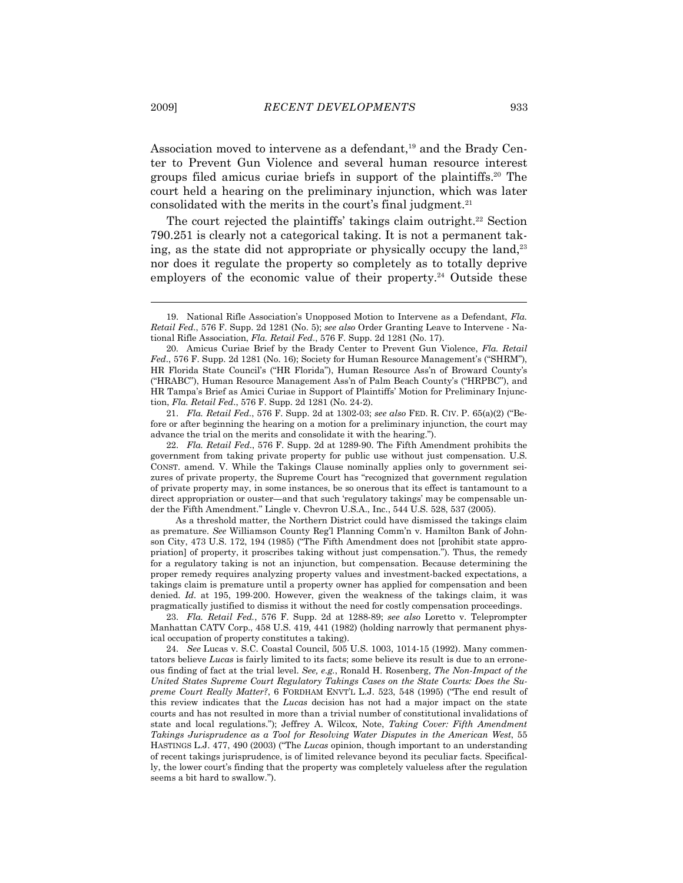Association moved to intervene as a defendant,<sup>19</sup> and the Brady Center to Prevent Gun Violence and several human resource interest groups filed amicus curiae briefs in support of the plaintiffs.20 The court held a hearing on the preliminary injunction, which was later consolidated with the merits in the court's final judgment.<sup>21</sup>

The court rejected the plaintiffs' takings claim outright.<sup>22</sup> Section 790.251 is clearly not a categorical taking. It is not a permanent taking, as the state did not appropriate or physically occupy the land, $23$ nor does it regulate the property so completely as to totally deprive employers of the economic value of their property.<sup>24</sup> Outside these

 21. *Fla. Retail Fed*., 576 F. Supp. 2d at 1302-03; *see also* FED. R. CIV. P. 65(a)(2) ("Before or after beginning the hearing on a motion for a preliminary injunction, the court may advance the trial on the merits and consolidate it with the hearing.").

 22. *Fla. Retail Fed*., 576 F. Supp. 2d at 1289-90. The Fifth Amendment prohibits the government from taking private property for public use without just compensation. U.S. CONST. amend. V. While the Takings Clause nominally applies only to government seizures of private property, the Supreme Court has "recognized that government regulation of private property may, in some instances, be so onerous that its effect is tantamount to a direct appropriation or ouster—and that such 'regulatory takings' may be compensable under the Fifth Amendment." Lingle v. Chevron U.S.A., Inc., 544 U.S. 528, 537 (2005).

 As a threshold matter, the Northern District could have dismissed the takings claim as premature. *See* Williamson County Reg'l Planning Comm'n v. Hamilton Bank of Johnson City, 473 U.S. 172, 194 (1985) ("The Fifth Amendment does not [prohibit state appropriation] of property, it proscribes taking without just compensation."). Thus, the remedy for a regulatory taking is not an injunction, but compensation. Because determining the proper remedy requires analyzing property values and investment-backed expectations, a takings claim is premature until a property owner has applied for compensation and been denied. *Id.* at 195, 199-200. However, given the weakness of the takings claim, it was pragmatically justified to dismiss it without the need for costly compensation proceedings.

 23. *Fla. Retail Fed.*, 576 F. Supp. 2d at 1288-89; *see also* Loretto v. Teleprompter Manhattan CATV Corp., 458 U.S. 419, 441 (1982) (holding narrowly that permanent physical occupation of property constitutes a taking).

 24. *See* Lucas v. S.C. Coastal Council, 505 U.S. 1003, 1014-15 (1992). Many commentators believe *Lucas* is fairly limited to its facts; some believe its result is due to an erroneous finding of fact at the trial level. *See, e.g.*, Ronald H. Rosenberg, *The Non-Impact of the United States Supreme Court Regulatory Takings Cases on the State Courts: Does the Supreme Court Really Matter?*, 6 FORDHAM ENVT'L L.J. 523, 548 (1995) ("The end result of this review indicates that the *Lucas* decision has not had a major impact on the state courts and has not resulted in more than a trivial number of constitutional invalidations of state and local regulations."); Jeffrey A. Wilcox, Note, *Taking Cover: Fifth Amendment Takings Jurisprudence as a Tool for Resolving Water Disputes in the American West*, 55 HASTINGS L.J. 477, 490 (2003) ("The *Lucas* opinion, though important to an understanding of recent takings jurisprudence, is of limited relevance beyond its peculiar facts. Specifically, the lower court's finding that the property was completely valueless after the regulation seems a bit hard to swallow.").

 <sup>19.</sup> National Rifle Association's Unopposed Motion to Intervene as a Defendant, *Fla. Retail Fed*., 576 F. Supp. 2d 1281 (No. 5); *see also* Order Granting Leave to Intervene - National Rifle Association, *Fla. Retail Fed*., 576 F. Supp. 2d 1281 (No. 17).

 <sup>20.</sup> Amicus Curiae Brief by the Brady Center to Prevent Gun Violence, *Fla. Retail Fed*., 576 F. Supp. 2d 1281 (No. 16); Society for Human Resource Management's ("SHRM"), HR Florida State Council's ("HR Florida"), Human Resource Ass'n of Broward County's ("HRABC"), Human Resource Management Ass'n of Palm Beach County's ("HRPBC"), and HR Tampa's Brief as Amici Curiae in Support of Plaintiffs' Motion for Preliminary Injunction, *Fla. Retail Fed*., 576 F. Supp. 2d 1281 (No. 24-2).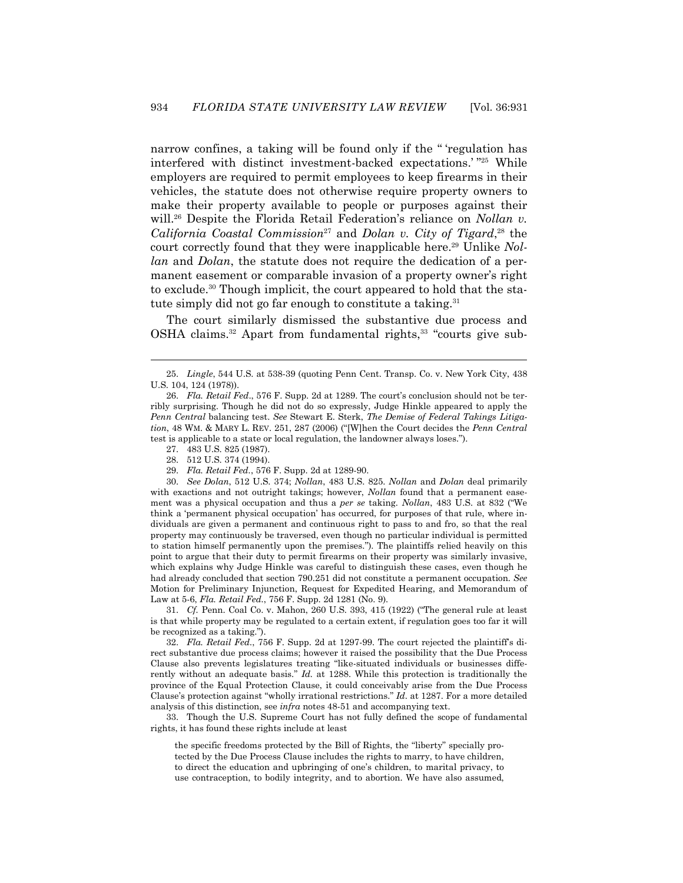narrow confines, a taking will be found only if the " 'regulation has interfered with distinct investment-backed expectations.' "25 While employers are required to permit employees to keep firearms in their vehicles, the statute does not otherwise require property owners to make their property available to people or purposes against their will.<sup>26</sup> Despite the Florida Retail Federation's reliance on *Nollan v*. *California Coastal Commission*27 and *Dolan v. City of Tigard*, 28 the court correctly found that they were inapplicable here.29 Unlike *Nollan* and *Dolan*, the statute does not require the dedication of a permanent easement or comparable invasion of a property owner's right to exclude.30 Though implicit, the court appeared to hold that the statute simply did not go far enough to constitute a taking.<sup>31</sup>

 The court similarly dismissed the substantive due process and OSHA claims.32 Apart from fundamental rights,33 "courts give sub-

-

29. *Fla. Retail Fed.*, 576 F. Supp. 2d at 1289-90.

 30. *See Dolan*, 512 U.S. 374; *Nollan*, 483 U.S. 825. *Nollan* and *Dolan* deal primarily with exactions and not outright takings; however, *Nollan* found that a permanent easement was a physical occupation and thus a *per se* taking. *Nollan*, 483 U.S. at 832 ("We think a 'permanent physical occupation' has occurred, for purposes of that rule, where individuals are given a permanent and continuous right to pass to and fro, so that the real property may continuously be traversed, even though no particular individual is permitted to station himself permanently upon the premises."). The plaintiffs relied heavily on this point to argue that their duty to permit firearms on their property was similarly invasive, which explains why Judge Hinkle was careful to distinguish these cases, even though he had already concluded that section 790.251 did not constitute a permanent occupation. *See* Motion for Preliminary Injunction, Request for Expedited Hearing, and Memorandum of Law at 5-6, *Fla. Retail Fed.*, 756 F. Supp. 2d 1281 (No. 9).

 31. *Cf.* Penn. Coal Co. v. Mahon, 260 U.S. 393, 415 (1922) ("The general rule at least is that while property may be regulated to a certain extent, if regulation goes too far it will be recognized as a taking.").

 32. *Fla. Retail Fed.*, 756 F. Supp. 2d at 1297-99. The court rejected the plaintiff's direct substantive due process claims; however it raised the possibility that the Due Process Clause also prevents legislatures treating "like-situated individuals or businesses differently without an adequate basis." *Id.* at 1288. While this protection is traditionally the province of the Equal Protection Clause, it could conceivably arise from the Due Process Clause's protection against "wholly irrational restrictions." *Id*. at 1287. For a more detailed analysis of this distinction, see *infra* notes 48-51 and accompanying text.

 33. Though the U.S. Supreme Court has not fully defined the scope of fundamental rights, it has found these rights include at least

the specific freedoms protected by the Bill of Rights, the "liberty" specially protected by the Due Process Clause includes the rights to marry, to have children, to direct the education and upbringing of one's children, to marital privacy, to use contraception, to bodily integrity, and to abortion. We have also assumed,

 <sup>25.</sup> *Lingle*, 544 U.S. at 538-39 (quoting Penn Cent. Transp. Co. v. New York City, 438 U.S. 104, 124 (1978)).

 <sup>26.</sup> *Fla. Retail Fed*., 576 F. Supp. 2d at 1289. The court's conclusion should not be terribly surprising. Though he did not do so expressly, Judge Hinkle appeared to apply the *Penn Central* balancing test. *See* Stewart E. Sterk, *The Demise of Federal Takings Litigation*, 48 WM.&MARY L. REV. 251, 287 (2006) ("[W]hen the Court decides the *Penn Central* test is applicable to a state or local regulation, the landowner always loses.").

 <sup>27. 483</sup> U.S. 825 (1987).

 <sup>28. 512</sup> U.S. 374 (1994).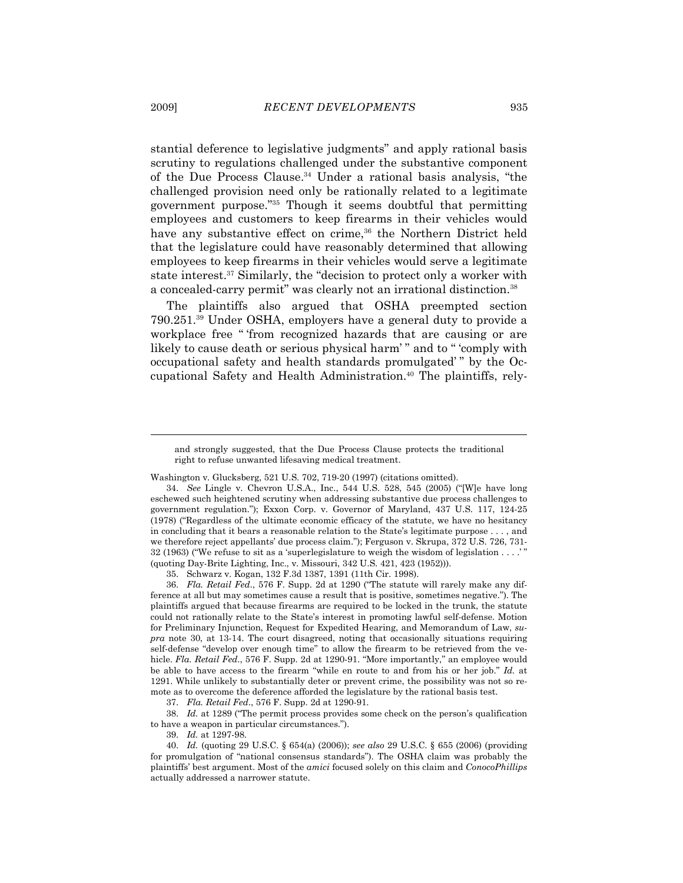stantial deference to legislative judgments" and apply rational basis scrutiny to regulations challenged under the substantive component of the Due Process Clause.34 Under a rational basis analysis, "the challenged provision need only be rationally related to a legitimate government purpose."35 Though it seems doubtful that permitting employees and customers to keep firearms in their vehicles would have any substantive effect on crime,<sup>36</sup> the Northern District held that the legislature could have reasonably determined that allowing employees to keep firearms in their vehicles would serve a legitimate state interest.37 Similarly, the "decision to protect only a worker with a concealed-carry permit" was clearly not an irrational distinction.38

 The plaintiffs also argued that OSHA preempted section 790.251.39 Under OSHA, employers have a general duty to provide a workplace free " 'from recognized hazards that are causing or are likely to cause death or serious physical harm' " and to " 'comply with occupational safety and health standards promulgated' " by the Occupational Safety and Health Administration.40 The plaintiffs, rely-

35. Schwarz v. Kogan, 132 F.3d 1387, 1391 (11th Cir. 1998).

 36. *Fla. Retail Fed*., 576 F. Supp. 2d at 1290 ("The statute will rarely make any difference at all but may sometimes cause a result that is positive, sometimes negative."). The plaintiffs argued that because firearms are required to be locked in the trunk, the statute could not rationally relate to the State's interest in promoting lawful self-defense. Motion for Preliminary Injunction, Request for Expedited Hearing, and Memorandum of Law, *supra* note 30, at 13-14. The court disagreed, noting that occasionally situations requiring self-defense "develop over enough time" to allow the firearm to be retrieved from the vehicle. *Fla. Retail Fed*., 576 F. Supp. 2d at 1290-91. "More importantly," an employee would be able to have access to the firearm "while en route to and from his or her job." *Id.* at 1291. While unlikely to substantially deter or prevent crime, the possibility was not so remote as to overcome the deference afforded the legislature by the rational basis test.

37. *Fla. Retail Fed*., 576 F. Supp. 2d at 1290-91.

 38. *Id.* at 1289 ("The permit process provides some check on the person's qualification to have a weapon in particular circumstances.").

39. *Id.* at 1297-98.

and strongly suggested, that the Due Process Clause protects the traditional right to refuse unwanted lifesaving medical treatment.

Washington v. Glucksberg, 521 U.S. 702, 719-20 (1997) (citations omitted).

 <sup>34.</sup> *See* Lingle v. Chevron U.S.A., Inc., 544 U.S. 528, 545 (2005) ("[W]e have long eschewed such heightened scrutiny when addressing substantive due process challenges to government regulation."); Exxon Corp. v. Governor of Maryland, 437 U.S. 117, 124-25 (1978) ("Regardless of the ultimate economic efficacy of the statute, we have no hesitancy in concluding that it bears a reasonable relation to the State's legitimate purpose . . . , and we therefore reject appellants' due process claim."); Ferguson v. Skrupa, 372 U.S. 726, 731-32 (1963) ("We refuse to sit as a 'superlegislature to weigh the wisdom of legislation . . . .' (quoting Day-Brite Lighting, Inc., v. Missouri, 342 U.S. 421, 423 (1952))).

 <sup>40.</sup> *Id.* (quoting 29 U.S.C. § 654(a) (2006)); *see also* 29 U.S.C. § 655 (2006) (providing for promulgation of "national consensus standards"). The OSHA claim was probably the plaintiffs' best argument. Most of the *amici* focused solely on this claim and *ConocoPhillips* actually addressed a narrower statute.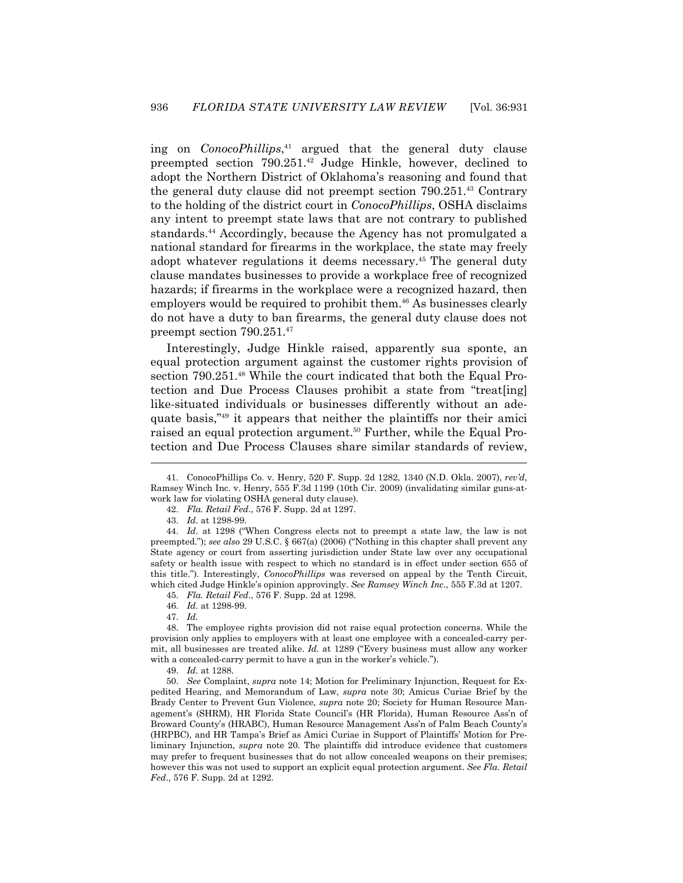ing on *ConocoPhillips*, 41 argued that the general duty clause preempted section 790.251.42 Judge Hinkle, however, declined to adopt the Northern District of Oklahoma's reasoning and found that the general duty clause did not preempt section 790.251.43 Contrary to the holding of the district court in *ConocoPhillips*, OSHA disclaims any intent to preempt state laws that are not contrary to published standards.44 Accordingly, because the Agency has not promulgated a national standard for firearms in the workplace, the state may freely adopt whatever regulations it deems necessary.45 The general duty clause mandates businesses to provide a workplace free of recognized hazards; if firearms in the workplace were a recognized hazard, then employers would be required to prohibit them.<sup>46</sup> As businesses clearly do not have a duty to ban firearms, the general duty clause does not preempt section 790.251.47

 Interestingly, Judge Hinkle raised, apparently sua sponte, an equal protection argument against the customer rights provision of section 790.251.<sup>48</sup> While the court indicated that both the Equal Protection and Due Process Clauses prohibit a state from "treat[ing] like-situated individuals or businesses differently without an adequate basis,"49 it appears that neither the plaintiffs nor their amici raised an equal protection argument.<sup>50</sup> Further, while the Equal Protection and Due Process Clauses share similar standards of review,

1

 <sup>41.</sup> ConocoPhillips Co. v. Henry, 520 F. Supp. 2d 1282, 1340 (N.D. Okla. 2007), *rev'd*, Ramsey Winch Inc. v. Henry, 555 F.3d 1199 (10th Cir. 2009) (invalidating similar guns-atwork law for violating OSHA general duty clause).

 <sup>42.</sup> *Fla. Retail Fed*., 576 F. Supp. 2d at 1297.

 <sup>43.</sup> *Id.* at 1298-99.

 <sup>44.</sup> *Id.* at 1298 ("When Congress elects not to preempt a state law, the law is not preempted."); *see also* 29 U.S.C. § 667(a) (2006) ("Nothing in this chapter shall prevent any State agency or court from asserting jurisdiction under State law over any occupational safety or health issue with respect to which no standard is in effect under section 655 of this title."). Interestingly, *ConocoPhillips* was reversed on appeal by the Tenth Circuit, which cited Judge Hinkle's opinion approvingly. *See Ramsey Winch Inc*., 555 F.3d at 1207.

 <sup>45.</sup> *Fla. Retail Fed*., 576 F. Supp. 2d at 1298.

 <sup>46.</sup> *Id.* at 1298-99.

 <sup>47.</sup> *Id.*

 <sup>48.</sup> The employee rights provision did not raise equal protection concerns. While the provision only applies to employers with at least one employee with a concealed-carry permit, all businesses are treated alike. *Id.* at 1289 ("Every business must allow any worker with a concealed-carry permit to have a gun in the worker's vehicle.").

 <sup>49.</sup> *Id.* at 1288.

 <sup>50.</sup> *See* Complaint, *supra* note 14; Motion for Preliminary Injunction, Request for Expedited Hearing, and Memorandum of Law, *supra* note 30; Amicus Curiae Brief by the Brady Center to Prevent Gun Violence, *supra* note 20; Society for Human Resource Management's (SHRM), HR Florida State Council's (HR Florida), Human Resource Ass'n of Broward County's (HRABC), Human Resource Management Ass'n of Palm Beach County's (HRPBC), and HR Tampa's Brief as Amici Curiae in Support of Plaintiffs' Motion for Preliminary Injunction, *supra* note 20. The plaintiffs did introduce evidence that customers may prefer to frequent businesses that do not allow concealed weapons on their premises; however this was not used to support an explicit equal protection argument. *See Fla. Retail Fed*., 576 F. Supp. 2d at 1292.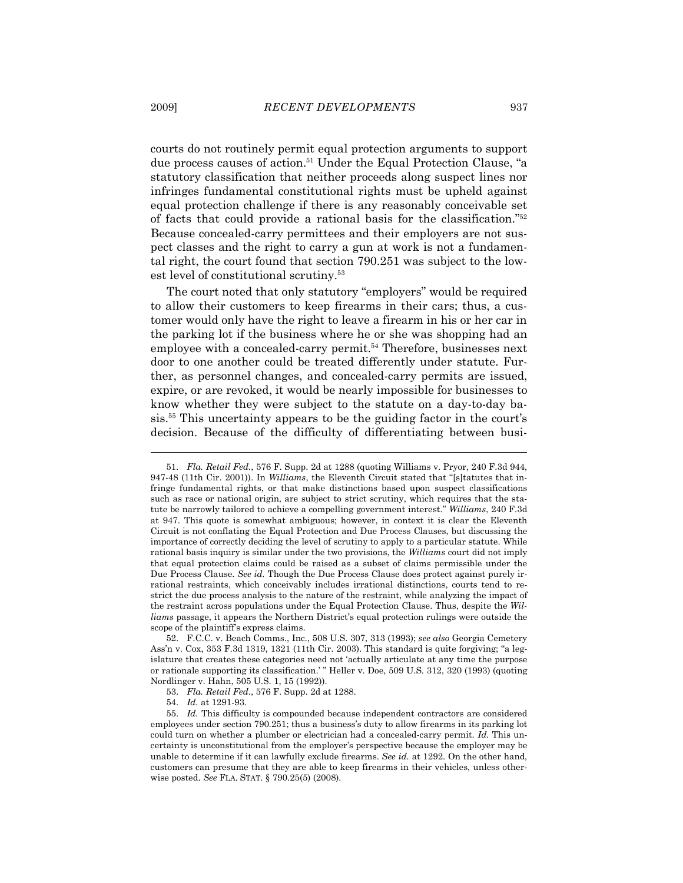courts do not routinely permit equal protection arguments to support due process causes of action.51 Under the Equal Protection Clause, "a statutory classification that neither proceeds along suspect lines nor infringes fundamental constitutional rights must be upheld against equal protection challenge if there is any reasonably conceivable set of facts that could provide a rational basis for the classification."52 Because concealed-carry permittees and their employers are not suspect classes and the right to carry a gun at work is not a fundamental right, the court found that section 790.251 was subject to the lowest level of constitutional scrutiny.53

 The court noted that only statutory "employers" would be required to allow their customers to keep firearms in their cars; thus, a customer would only have the right to leave a firearm in his or her car in the parking lot if the business where he or she was shopping had an employee with a concealed-carry permit.<sup>54</sup> Therefore, businesses next door to one another could be treated differently under statute. Further, as personnel changes, and concealed-carry permits are issued, expire, or are revoked, it would be nearly impossible for businesses to know whether they were subject to the statute on a day-to-day basis.55 This uncertainty appears to be the guiding factor in the court's decision. Because of the difficulty of differentiating between busi-

 52. F.C.C. v. Beach Comms., Inc., 508 U.S. 307, 313 (1993); *see also* Georgia Cemetery Ass'n v. Cox, 353 F.3d 1319, 1321 (11th Cir. 2003). This standard is quite forgiving; "a legislature that creates these categories need not 'actually articulate at any time the purpose or rationale supporting its classification.' " Heller v. Doe, 509 U.S. 312, 320 (1993) (quoting Nordlinger v. Hahn, 505 U.S. 1, 15 (1992)).

 <sup>51.</sup> *Fla. Retail Fed.*, 576 F. Supp. 2d at 1288 (quoting Williams v. Pryor, 240 F.3d 944, 947-48 (11th Cir. 2001)). In *Williams*, the Eleventh Circuit stated that "[s]tatutes that infringe fundamental rights, or that make distinctions based upon suspect classifications such as race or national origin, are subject to strict scrutiny, which requires that the statute be narrowly tailored to achieve a compelling government interest." *Williams*, 240 F.3d at 947. This quote is somewhat ambiguous; however, in context it is clear the Eleventh Circuit is not conflating the Equal Protection and Due Process Clauses, but discussing the importance of correctly deciding the level of scrutiny to apply to a particular statute. While rational basis inquiry is similar under the two provisions, the *Williams* court did not imply that equal protection claims could be raised as a subset of claims permissible under the Due Process Clause. *See id.* Though the Due Process Clause does protect against purely irrational restraints, which conceivably includes irrational distinctions, courts tend to restrict the due process analysis to the nature of the restraint, while analyzing the impact of the restraint across populations under the Equal Protection Clause. Thus, despite the *Williams* passage, it appears the Northern District's equal protection rulings were outside the scope of the plaintiff's express claims.

 <sup>53.</sup> *Fla. Retail Fed*., 576 F. Supp. 2d at 1288.

 <sup>54.</sup> *Id.* at 1291-93.

 <sup>55.</sup> *Id.* This difficulty is compounded because independent contractors are considered employees under section 790.251; thus a business's duty to allow firearms in its parking lot could turn on whether a plumber or electrician had a concealed-carry permit. *Id.* This uncertainty is unconstitutional from the employer's perspective because the employer may be unable to determine if it can lawfully exclude firearms. *See id.* at 1292. On the other hand, customers can presume that they are able to keep firearms in their vehicles, unless otherwise posted. *See* FLA. STAT. § 790.25(5) (2008).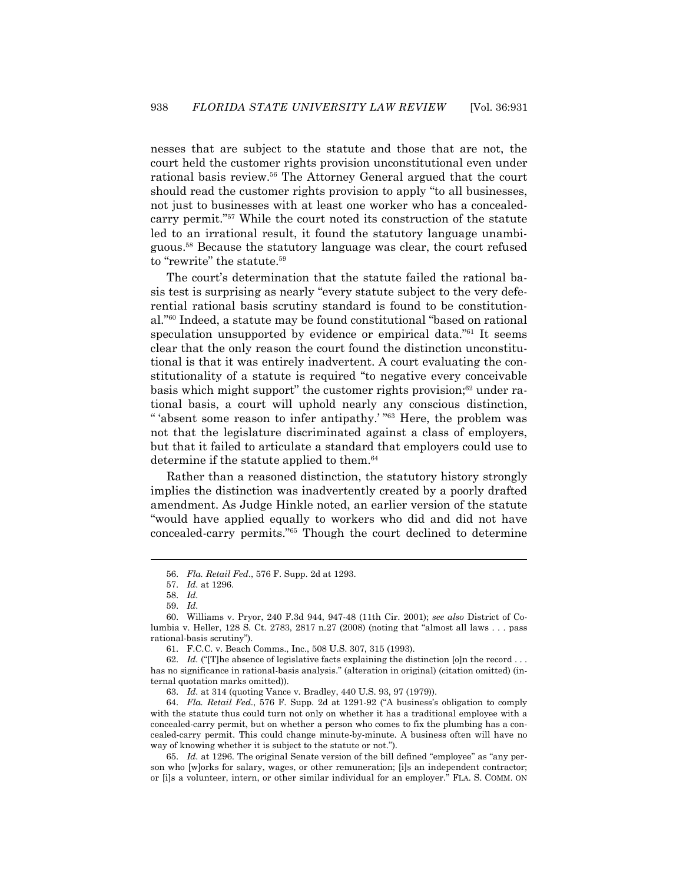nesses that are subject to the statute and those that are not, the court held the customer rights provision unconstitutional even under rational basis review.56 The Attorney General argued that the court should read the customer rights provision to apply "to all businesses, not just to businesses with at least one worker who has a concealedcarry permit."57 While the court noted its construction of the statute led to an irrational result, it found the statutory language unambiguous.58 Because the statutory language was clear, the court refused to "rewrite" the statute.<sup>59</sup>

 The court's determination that the statute failed the rational basis test is surprising as nearly "every statute subject to the very deferential rational basis scrutiny standard is found to be constitutional."60 Indeed, a statute may be found constitutional "based on rational speculation unsupported by evidence or empirical data."<sup>61</sup> It seems clear that the only reason the court found the distinction unconstitutional is that it was entirely inadvertent. A court evaluating the constitutionality of a statute is required "to negative every conceivable basis which might support" the customer rights provision;<sup>62</sup> under rational basis, a court will uphold nearly any conscious distinction, " 'absent some reason to infer antipathy.' "63 Here, the problem was not that the legislature discriminated against a class of employers, but that it failed to articulate a standard that employers could use to determine if the statute applied to them.<sup>64</sup>

 Rather than a reasoned distinction, the statutory history strongly implies the distinction was inadvertently created by a poorly drafted amendment. As Judge Hinkle noted, an earlier version of the statute "would have applied equally to workers who did and did not have concealed-carry permits."65 Though the court declined to determine

1

 65. *Id.* at 1296. The original Senate version of the bill defined "employee" as "any person who [w]orks for salary, wages, or other remuneration; [i]s an independent contractor; or [i]s a volunteer, intern, or other similar individual for an employer." FLA. S. COMM. ON

 <sup>56.</sup> *Fla. Retail Fed*., 576 F. Supp. 2d at 1293.

 <sup>57.</sup> *Id.* at 1296.

 <sup>58.</sup> *Id.*

 <sup>59.</sup> *Id.*

 <sup>60.</sup> Williams v. Pryor, 240 F.3d 944, 947-48 (11th Cir. 2001); *see also* District of Columbia v. Heller, 128 S. Ct. 2783, 2817 n.27 (2008) (noting that "almost all laws . . . pass rational-basis scrutiny").

 <sup>61.</sup> F.C.C. v. Beach Comms., Inc., 508 U.S. 307, 315 (1993).

<sup>62.</sup> Id. ("The absence of legislative facts explaining the distinction  $[0]$ n the record ... has no significance in rational-basis analysis." (alteration in original) (citation omitted) (internal quotation marks omitted)).

 <sup>63.</sup> *Id.* at 314 (quoting Vance v. Bradley, 440 U.S. 93, 97 (1979)).

 <sup>64.</sup> *Fla. Retail Fed*., 576 F. Supp. 2d at 1291-92 ("A business's obligation to comply with the statute thus could turn not only on whether it has a traditional employee with a concealed-carry permit, but on whether a person who comes to fix the plumbing has a concealed-carry permit. This could change minute-by-minute. A business often will have no way of knowing whether it is subject to the statute or not.").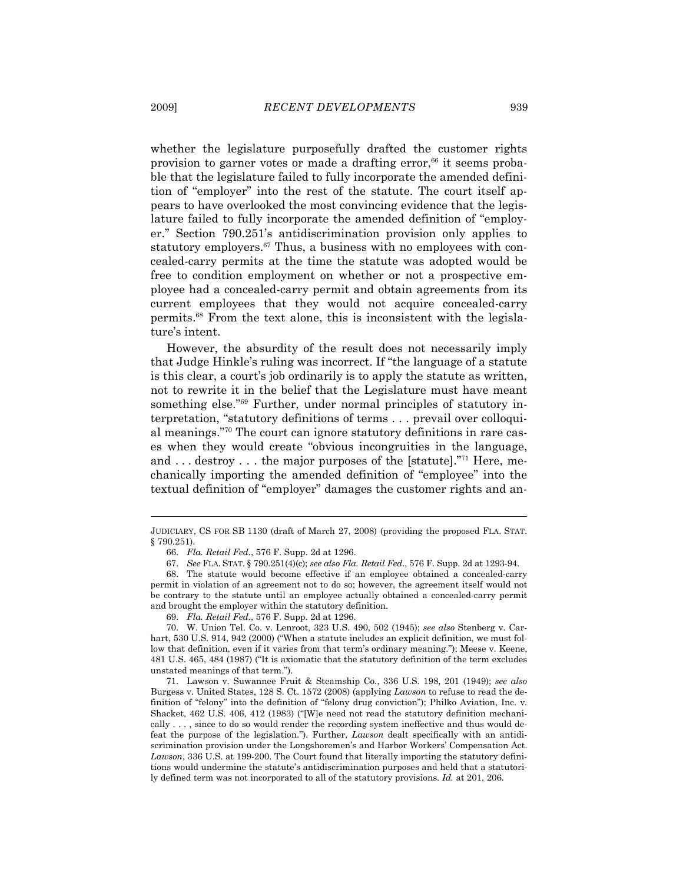whether the legislature purposefully drafted the customer rights provision to garner votes or made a drafting error, $66$  it seems probable that the legislature failed to fully incorporate the amended definition of "employer" into the rest of the statute. The court itself appears to have overlooked the most convincing evidence that the legislature failed to fully incorporate the amended definition of "employer." Section 790.251's antidiscrimination provision only applies to statutory employers.<sup>67</sup> Thus, a business with no employees with concealed-carry permits at the time the statute was adopted would be free to condition employment on whether or not a prospective employee had a concealed-carry permit and obtain agreements from its current employees that they would not acquire concealed-carry permits.68 From the text alone, this is inconsistent with the legislature's intent.

 However, the absurdity of the result does not necessarily imply that Judge Hinkle's ruling was incorrect. If "the language of a statute is this clear, a court's job ordinarily is to apply the statute as written, not to rewrite it in the belief that the Legislature must have meant something else."<sup>69</sup> Further, under normal principles of statutory interpretation, "statutory definitions of terms . . . prevail over colloquial meanings."70 The court can ignore statutory definitions in rare cases when they would create "obvious incongruities in the language, and ... destroy ... the major purposes of the [statute]."<sup>71</sup> Here, mechanically importing the amended definition of "employee" into the textual definition of "employer" damages the customer rights and an-

JUDICIARY, CS FOR SB 1130 (draft of March 27, 2008) (providing the proposed FLA. STAT. § 790.251).

 <sup>66.</sup> *Fla. Retail Fed*., 576 F. Supp. 2d at 1296.

 <sup>67.</sup> *See* FLA. STAT. § 790.251(4)(c); *see also Fla. Retail Fed*., 576 F. Supp. 2d at 1293-94.

 <sup>68.</sup> The statute would become effective if an employee obtained a concealed-carry permit in violation of an agreement not to do so; however, the agreement itself would not be contrary to the statute until an employee actually obtained a concealed-carry permit and brought the employer within the statutory definition.

 <sup>69.</sup> *Fla. Retail Fed*., 576 F. Supp. 2d at 1296.

 <sup>70.</sup> W. Union Tel. Co. v. Lenroot, 323 U.S. 490, 502 (1945); *see also* Stenberg v. Carhart, 530 U.S. 914, 942 (2000) ("When a statute includes an explicit definition, we must follow that definition, even if it varies from that term's ordinary meaning."); Meese v. Keene, 481 U.S. 465, 484 (1987) ("It is axiomatic that the statutory definition of the term excludes unstated meanings of that term.").

 <sup>71.</sup> Lawson v. Suwannee Fruit & Steamship Co., 336 U.S. 198, 201 (1949); *see also* Burgess v. United States, 128 S. Ct. 1572 (2008) (applying *Lawson* to refuse to read the definition of "felony" into the definition of "felony drug conviction"); Philko Aviation, Inc. v. Shacket, 462 U.S. 406, 412 (1983) ("[W]e need not read the statutory definition mechanically . . . , since to do so would render the recording system ineffective and thus would defeat the purpose of the legislation."). Further, *Lawson* dealt specifically with an antidiscrimination provision under the Longshoremen's and Harbor Workers' Compensation Act. *Lawson*, 336 U.S. at 199-200. The Court found that literally importing the statutory definitions would undermine the statute's antidiscrimination purposes and held that a statutorily defined term was not incorporated to all of the statutory provisions. *Id.* at 201, 206.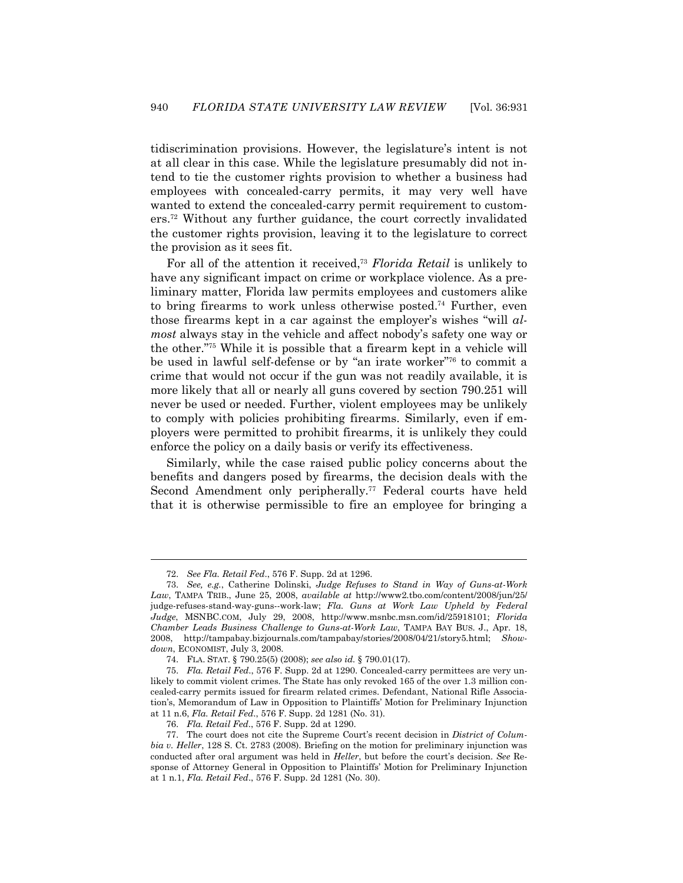tidiscrimination provisions. However, the legislature's intent is not at all clear in this case. While the legislature presumably did not intend to tie the customer rights provision to whether a business had employees with concealed-carry permits, it may very well have wanted to extend the concealed-carry permit requirement to customers.72 Without any further guidance, the court correctly invalidated the customer rights provision, leaving it to the legislature to correct the provision as it sees fit.

 For all of the attention it received,73 *Florida Retail* is unlikely to have any significant impact on crime or workplace violence. As a preliminary matter, Florida law permits employees and customers alike to bring firearms to work unless otherwise posted.74 Further, even those firearms kept in a car against the employer's wishes "will *almost* always stay in the vehicle and affect nobody's safety one way or the other."75 While it is possible that a firearm kept in a vehicle will be used in lawful self-defense or by "an irate worker"76 to commit a crime that would not occur if the gun was not readily available, it is more likely that all or nearly all guns covered by section 790.251 will never be used or needed. Further, violent employees may be unlikely to comply with policies prohibiting firearms. Similarly, even if employers were permitted to prohibit firearms, it is unlikely they could enforce the policy on a daily basis or verify its effectiveness.

 Similarly, while the case raised public policy concerns about the benefits and dangers posed by firearms, the decision deals with the Second Amendment only peripherally.<sup>77</sup> Federal courts have held that it is otherwise permissible to fire an employee for bringing a

 <sup>72.</sup> *See Fla. Retail Fed*., 576 F. Supp. 2d at 1296.

 <sup>73.</sup> *See, e.g.*, Catherine Dolinski, *Judge Refuses to Stand in Way of Guns-at-Work Law*, TAMPA TRIB., June 25, 2008, *available at* http://www2.tbo.com/content/2008/jun/25/ judge-refuses-stand-way-guns--work-law; *Fla. Guns at Work Law Upheld by Federal Judge*, MSNBC.COM, July 29, 2008, http://www.msnbc.msn.com/id/25918101; *Florida Chamber Leads Business Challenge to Guns-at-Work Law*, TAMPA BAY BUS. J., Apr. 18, 2008, http://tampabay.bizjournals.com/tampabay/stories/2008/04/21/story5.html; *Showdown*, ECONOMIST, July 3, 2008.

 <sup>74.</sup> FLA. STAT. § 790.25(5) (2008); *see also id.* § 790.01(17).

 <sup>75.</sup> *Fla. Retail Fed*., 576 F. Supp. 2d at 1290. Concealed-carry permittees are very unlikely to commit violent crimes. The State has only revoked 165 of the over 1.3 million concealed-carry permits issued for firearm related crimes. Defendant, National Rifle Association's, Memorandum of Law in Opposition to Plaintiffs' Motion for Preliminary Injunction at 11 n.6, *Fla. Retail Fed*., 576 F. Supp. 2d 1281 (No. 31).

 <sup>76.</sup> *Fla. Retail Fed*., 576 F. Supp. 2d at 1290.

 <sup>77.</sup> The court does not cite the Supreme Court's recent decision in *District of Columbia v. Heller*, 128 S. Ct. 2783 (2008). Briefing on the motion for preliminary injunction was conducted after oral argument was held in *Heller*, but before the court's decision. *See* Response of Attorney General in Opposition to Plaintiffs' Motion for Preliminary Injunction at 1 n.1, *Fla. Retail Fed*., 576 F. Supp. 2d 1281 (No. 30).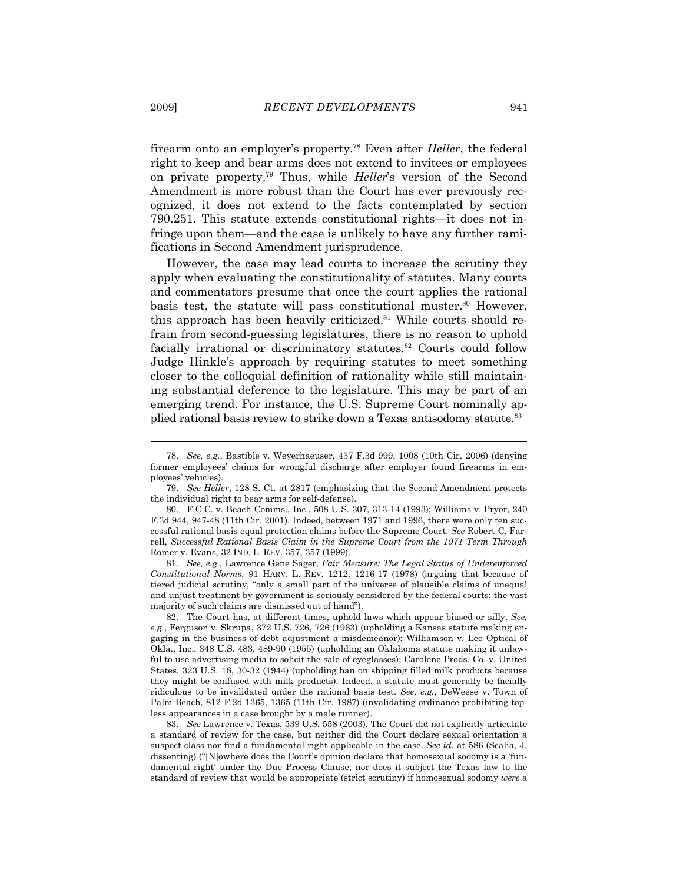firearm onto an employer's property.78 Even after *Heller*, the federal right to keep and bear arms does not extend to invitees or employees on private property.79 Thus, while *Heller*'s version of the Second Amendment is more robust than the Court has ever previously recognized, it does not extend to the facts contemplated by section 790.251. This statute extends constitutional rights—it does not infringe upon them—and the case is unlikely to have any further ramifications in Second Amendment jurisprudence.

 However, the case may lead courts to increase the scrutiny they apply when evaluating the constitutionality of statutes. Many courts and commentators presume that once the court applies the rational basis test, the statute will pass constitutional muster.<sup>80</sup> However, this approach has been heavily criticized.<sup>81</sup> While courts should refrain from second-guessing legislatures, there is no reason to uphold facially irrational or discriminatory statutes.<sup>82</sup> Courts could follow Judge Hinkle's approach by requiring statutes to meet something closer to the colloquial definition of rationality while still maintaining substantial deference to the legislature. This may be part of an emerging trend. For instance, the U.S. Supreme Court nominally applied rational basis review to strike down a Texas antisodomy statute.<sup>83</sup>

 81. *See, e.g.*, Lawrence Gene Sager, *Fair Measure: The Legal Status of Underenforced Constitutional Norms*, 91 HARV. L. REV. 1212, 1216-17 (1978) (arguing that because of tiered judicial scrutiny, "only a small part of the universe of plausible claims of unequal and unjust treatment by government is seriously considered by the federal courts; the vast majority of such claims are dismissed out of hand").

 82. The Court has, at different times, upheld laws which appear biased or silly. *See, e.g.*, Ferguson v. Skrupa, 372 U.S. 726, 726 (1963) (upholding a Kansas statute making engaging in the business of debt adjustment a misdemeanor); Williamson v. Lee Optical of Okla., Inc., 348 U.S. 483, 489-90 (1955) (upholding an Oklahoma statute making it unlawful to use advertising media to solicit the sale of eyeglasses); Carolene Prods. Co. v. United States, 323 U.S. 18, 30-32 (1944) (upholding ban on shipping filled milk products because they might be confused with milk products). Indeed, a statute must generally be facially ridiculous to be invalidated under the rational basis test. *See, e.g.*, DeWeese v. Town of Palm Beach, 812 F.2d 1365, 1365 (11th Cir. 1987) (invalidating ordinance prohibiting topless appearances in a case brought by a male runner).

 83. *See* Lawrence v. Texas, 539 U.S. 558 (2003). The Court did not explicitly articulate a standard of review for the case, but neither did the Court declare sexual orientation a suspect class nor find a fundamental right applicable in the case. *See id.* at 586 (Scalia, J. dissenting) ("[N]owhere does the Court's opinion declare that homosexual sodomy is a 'fundamental right' under the Due Process Clause; nor does it subject the Texas law to the standard of review that would be appropriate (strict scrutiny) if homosexual sodomy *were* a

 <sup>78.</sup> *See, e.g.*, Bastible v. Weyerhaeuser, 437 F.3d 999, 1008 (10th Cir. 2006) (denying former employees' claims for wrongful discharge after employer found firearms in employees' vehicles).

 <sup>79.</sup> *See Heller*, 128 S. Ct. at 2817 (emphasizing that the Second Amendment protects the individual right to bear arms for self-defense).

 <sup>80.</sup> F.C.C. v. Beach Comms., Inc., 508 U.S. 307, 313-14 (1993); Williams v. Pryor, 240 F.3d 944, 947-48 (11th Cir. 2001). Indeed, between 1971 and 1996, there were only ten successful rational basis equal protection claims before the Supreme Court. *See* Robert C. Farrell, *Successful Rational Basis Claim in the Supreme Court from the 1971 Term Through*  Romer v. Evans, 32 IND. L. REV. 357, 357 (1999).